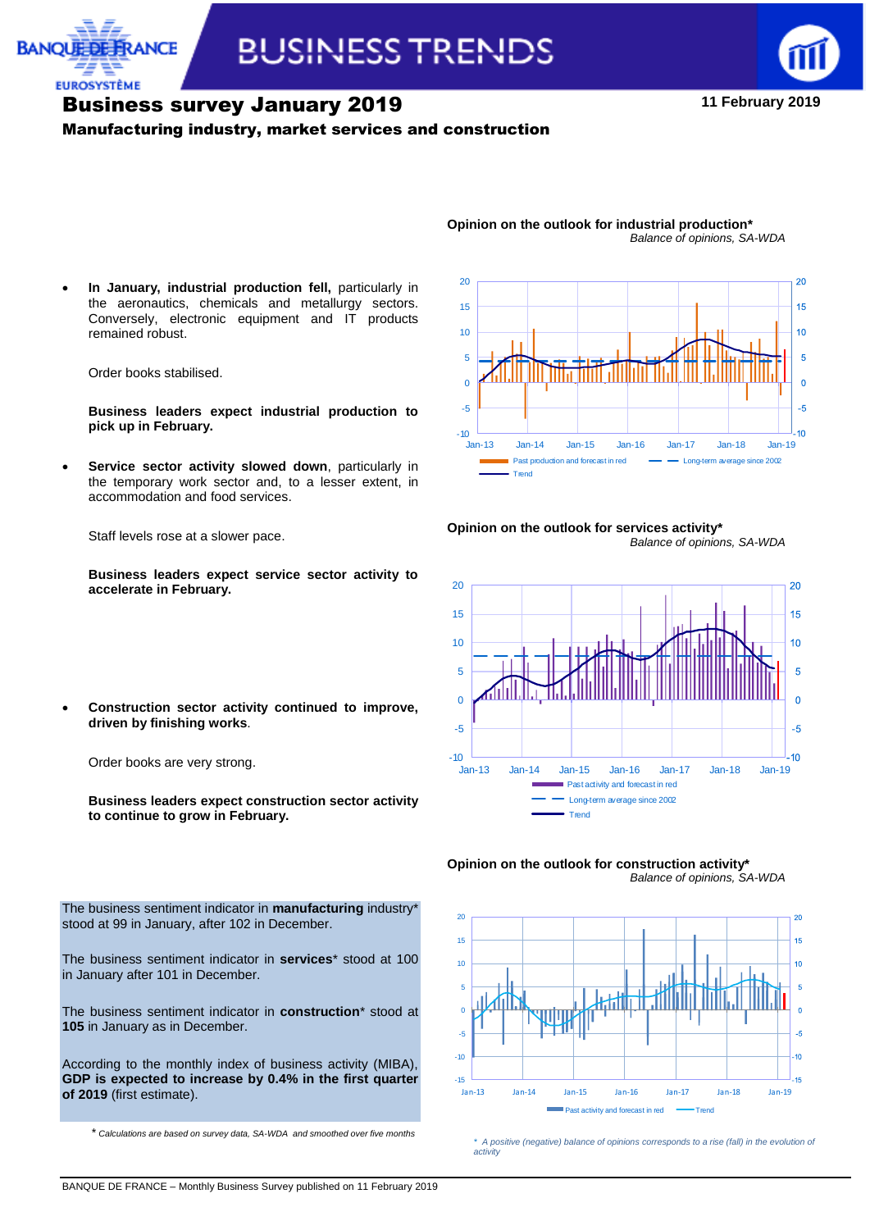



# Business survey January 2019

#### Manufacturing industry, market services and construction

**11 February 2019**



**Opinion on the outlook for industrial production\***

 **In January, industrial production fell,** particularly in the aeronautics, chemicals and metallurgy sectors. Conversely, electronic equipment and IT products remained robust.

Order books stabilised.

**EUROSYSTÈME** 

**Business leaders expect industrial production to pick up in February.**

 **Service sector activity slowed down**, particularly in the temporary work sector and, to a lesser extent, in accommodation and food services.

Staff levels rose at a slower pace.

**driven by finishing works**.

Order books are very strong.

**to continue to grow in February.**

**Business leaders expect service sector activity to accelerate in February.**

**Construction sector activity continued to improve,** 

**Business leaders expect construction sector activity** 

**Opinion on the outlook for services activity\*** *Balance of opinions, SA-WDA*







\* *Calculations are based on survey data, SA-WDA and smoothed over five months \* A positive (negative) balance of opinions corresponds to a rise (fall) in the evolution of activity*

The business sentiment indicator in **manufacturing** industry\* stood at 99 in January, after 102 in December.

The business sentiment indicator in **services**\* stood at 100 in January after 101 in December.

The business sentiment indicator in **construction**\* stood at **105** in January as in December.

According to the monthly index of business activity (MIBA), **GDP is expected to increase by 0.4% in the first quarter of 2019** (first estimate).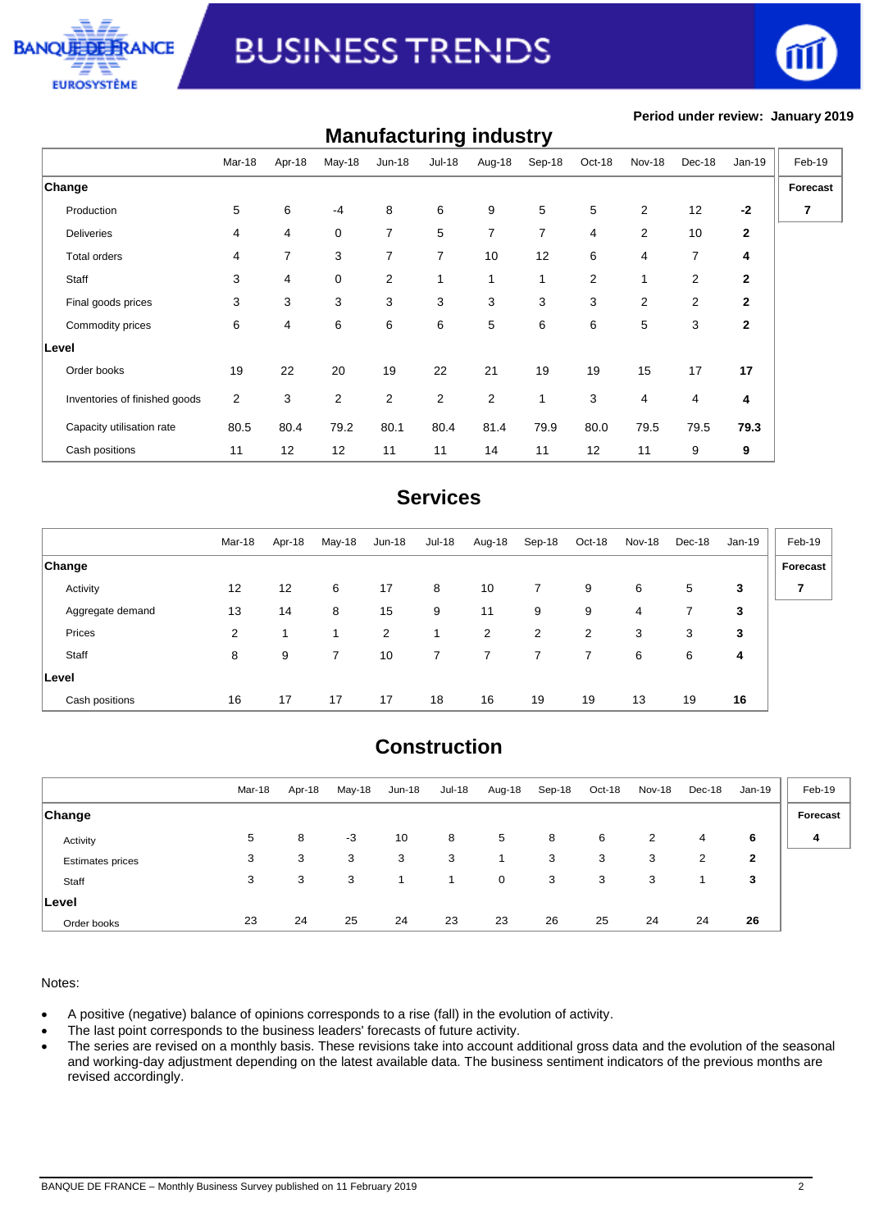



#### **Period under review: January 2019**

| <b>Manufacturing industry</b> |                |        |                |                |                |                |                |        |                |                |              |          |
|-------------------------------|----------------|--------|----------------|----------------|----------------|----------------|----------------|--------|----------------|----------------|--------------|----------|
|                               | Mar-18         | Apr-18 | May-18         | $Jun-18$       | <b>Jul-18</b>  | Aug-18         | Sep-18         | Oct-18 | <b>Nov-18</b>  | Dec-18         | Jan-19       | Feb-19   |
| <b>Change</b>                 |                |        |                |                |                |                |                |        |                |                |              | Forecast |
| Production                    | 5              | 6      | $-4$           | 8              | 6              | 9              | 5              | 5      | 2              | 12             | $-2$         | 7        |
| <b>Deliveries</b>             | 4              | 4      | 0              | $\overline{7}$ | 5              | $\overline{7}$ | $\overline{7}$ | 4      | $\mathbf{2}$   | 10             | $\mathbf{2}$ |          |
| <b>Total orders</b>           | 4              | 7      | 3              | $\overline{7}$ | $\overline{7}$ | 10             | 12             | 6      | 4              | $\overline{7}$ | 4            |          |
| Staff                         | 3              | 4      | $\mathbf 0$    | $\overline{2}$ | 1              | 1              | 1              | 2      | $\mathbf{1}$   | 2              | $\mathbf{2}$ |          |
| Final goods prices            | 3              | 3      | 3              | 3              | 3              | 3              | 3              | 3      | $\overline{2}$ | 2              | 2            |          |
| Commodity prices              | 6              | 4      | 6              | 6              | 6              | 5              | 6              | 6      | 5              | 3              | $\mathbf{2}$ |          |
| Level                         |                |        |                |                |                |                |                |        |                |                |              |          |
| Order books                   | 19             | 22     | 20             | 19             | 22             | 21             | 19             | 19     | 15             | 17             | 17           |          |
| Inventories of finished goods | $\overline{2}$ | 3      | $\overline{2}$ | $\overline{2}$ | $\overline{2}$ | $\overline{2}$ | $\mathbf{1}$   | 3      | $\overline{4}$ | 4              | 4            |          |
| Capacity utilisation rate     | 80.5           | 80.4   | 79.2           | 80.1           | 80.4           | 81.4           | 79.9           | 80.0   | 79.5           | 79.5           | 79.3         |          |
| Cash positions                | 11             | 12     | 12             | 11             | 11             | 14             | 11             | 12     | 11             | 9              | 9            |          |

### **Services**

|                  | Mar-18 | Apr-18 | May-18 | Jun-18 | Jul-18 | Aug-18 | Sep-18         | Oct-18 | Nov-18 | Dec-18 | Jan-19 | Feb-19         |
|------------------|--------|--------|--------|--------|--------|--------|----------------|--------|--------|--------|--------|----------------|
| <b>Change</b>    |        |        |        |        |        |        |                |        |        |        |        | Forecast       |
| Activity         | 12     | 12     | 6      | 17     | 8      | 10     | $\overline{7}$ | 9      | 6      | 5      | 3      | $\overline{7}$ |
| Aggregate demand | 13     | 14     | 8      | 15     | 9      | 11     | 9              | 9      | 4      |        | 3      |                |
| Prices           | 2      |        |        | 2      |        | 2      | 2              | 2      | 3      | 3      | 3      |                |
| Staff            | 8      | 9      |        | 10     | 7      |        |                |        | 6      | 6      | 4      |                |
| Level            |        |        |        |        |        |        |                |        |        |        |        |                |
| Cash positions   | 16     | 17     | 17     | 17     | 18     | 16     | 19             | 19     | 13     | 19     | 16     |                |

## **Construction**

|                         | Mar-18 | Apr-18 | May-18 | <b>Jun-18</b> | Jul-18 | Aug-18       | Sep-18 | Oct-18 | <b>Nov-18</b> | Dec-18 | Jan-19 | Feb-19   |
|-------------------------|--------|--------|--------|---------------|--------|--------------|--------|--------|---------------|--------|--------|----------|
| <b>Change</b>           |        |        |        |               |        |              |        |        |               |        |        | Forecast |
| Activity                | 5      | 8      | $-3$   | 10            | 8      | 5            | 8      | 6      | 2             | 4      | 6      | 4        |
| <b>Estimates prices</b> | 3      | 3      | 3      | 3             | 3      |              | 3      | 3      | 3             | 2      | 2      |          |
| Staff                   | 3      | 3      | 3      |               |        | $\mathbf{0}$ | 3      | 3      | 3             |        | 3      |          |
| ∣Level                  |        |        |        |               |        |              |        |        |               |        |        |          |
| Order books             | 23     | 24     | 25     | 24            | 23     | 23           | 26     | 25     | 24            | 24     | 26     |          |

#### Notes:

- A positive (negative) balance of opinions corresponds to a rise (fall) in the evolution of activity.
- The last point corresponds to the business leaders' forecasts of future activity.
- The series are revised on a monthly basis. These revisions take into account additional gross data and the evolution of the seasonal and working-day adjustment depending on the latest available data. The business sentiment indicators of the previous months are revised accordingly.